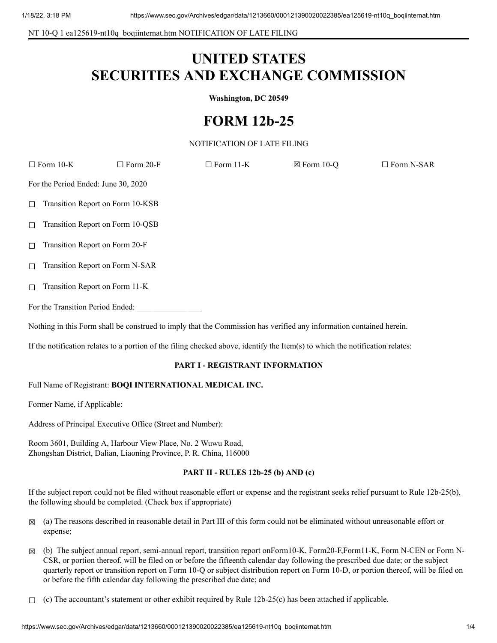NT 10-Q 1 ea125619-nt10q\_boqiinternat.htm NOTIFICATION OF LATE FILING

# **UNITED STATES SECURITIES AND EXCHANGE COMMISSION**

**Washington, DC 20549**

# **FORM 12b-25**

# NOTIFICATION OF LATE FILING

|                                                                                                                     | $\Box$ Form 10-K                 | $\Box$ Form 20-F | $\Box$ Form 11-K | $\boxtimes$ Form 10-Q | $\Box$ Form N-SAR |
|---------------------------------------------------------------------------------------------------------------------|----------------------------------|------------------|------------------|-----------------------|-------------------|
| For the Period Ended: June 30, 2020                                                                                 |                                  |                  |                  |                       |                   |
| $\Box$                                                                                                              | Transition Report on Form 10-KSB |                  |                  |                       |                   |
| $\Box$                                                                                                              | Transition Report on Form 10-QSB |                  |                  |                       |                   |
| $\Box$                                                                                                              | Transition Report on Form 20-F   |                  |                  |                       |                   |
| $\Box$                                                                                                              | Transition Report on Form N-SAR  |                  |                  |                       |                   |
| $\Box$                                                                                                              | Transition Report on Form 11-K   |                  |                  |                       |                   |
| For the Transition Period Ended:                                                                                    |                                  |                  |                  |                       |                   |
| Nothing in this Form shall be construed to imply that the Commission has verified any information contained herein. |                                  |                  |                  |                       |                   |

If the notification relates to a portion of the filing checked above, identify the Item(s) to which the notification relates:

# **PART I - REGISTRANT INFORMATION**

Full Name of Registrant: **BOQI INTERNATIONAL MEDICAL INC.**

Former Name, if Applicable:

Address of Principal Executive Office (Street and Number):

Room 3601, Building A, Harbour View Place, No. 2 Wuwu Road, Zhongshan District, Dalian, Liaoning Province, P. R. China, 116000

### **PART II - RULES 12b-25 (b) AND (c)**

If the subject report could not be filed without reasonable effort or expense and the registrant seeks relief pursuant to Rule 12b-25(b), the following should be completed. (Check box if appropriate)

- ☒ (a) The reasons described in reasonable detail in Part III of this form could not be eliminated without unreasonable effort or expense;
- ☒ (b) The subject annual report, semi-annual report, transition report onForm10-K, Form20-F,Form11-K, Form N-CEN or Form N-CSR, or portion thereof, will be filed on or before the fifteenth calendar day following the prescribed due date; or the subject quarterly report or transition report on Form 10-Q or subject distribution report on Form 10-D, or portion thereof, will be filed on or before the fifth calendar day following the prescribed due date; and
- $\Box$  (c) The accountant's statement or other exhibit required by Rule 12b-25(c) has been attached if applicable.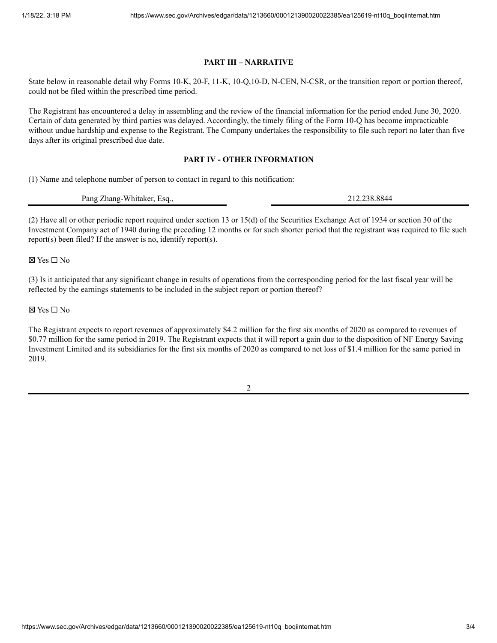#### **PART III – NARRATIVE**

State below in reasonable detail why Forms 10-K, 20-F, 11-K, 10-Q,10-D, N-CEN, N-CSR, or the transition report or portion thereof, could not be filed within the prescribed time period.

The Registrant has encountered a delay in assembling and the review of the financial information for the period ended June 30, 2020. Certain of data generated by third parties was delayed. Accordingly, the timely filing of the Form 10-Q has become impracticable without undue hardship and expense to the Registrant. The Company undertakes the responsibility to file such report no later than five days after its original prescribed due date.

#### **PART IV - OTHER INFORMATION**

(1) Name and telephone number of person to contact in regard to this notification:

Pang Zhang-Whitaker, Esq., 212.238.8844

(2) Have all or other periodic report required under section 13 or 15(d) of the Securities Exchange Act of 1934 or section 30 of the Investment Company act of 1940 during the preceding 12 months or for such shorter period that the registrant was required to file such report(s) been filed? If the answer is no, identify report(s).

☒ Yes ☐ No

(3) Is it anticipated that any significant change in results of operations from the corresponding period for the last fiscal year will be reflected by the earnings statements to be included in the subject report or portion thereof?

☒ Yes ☐ No

The Registrant expects to report revenues of approximately \$4.2 million for the first six months of 2020 as compared to revenues of \$0.77 million for the same period in 2019. The Registrant expects that it will report a gain due to the disposition of NF Energy Saving Investment Limited and its subsidiaries for the first six months of 2020 as compared to net loss of \$1.4 million for the same period in 2019.

2